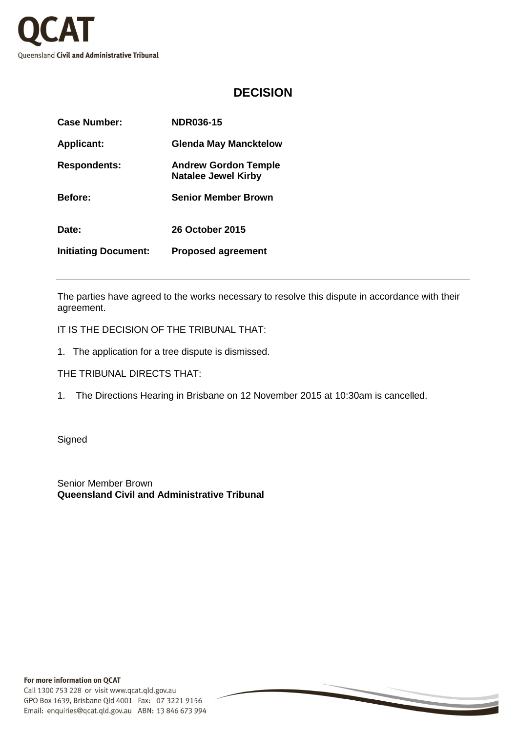

## **DECISION**

| Case Number:                | <b>NDR036-15</b>                                          |
|-----------------------------|-----------------------------------------------------------|
| <b>Applicant:</b>           | <b>Glenda May Mancktelow</b>                              |
| <b>Respondents:</b>         | <b>Andrew Gordon Temple</b><br><b>Natalee Jewel Kirby</b> |
| <b>Before:</b>              | <b>Senior Member Brown</b>                                |
| Date:                       | 26 October 2015                                           |
| <b>Initiating Document:</b> | <b>Proposed agreement</b>                                 |

The parties have agreed to the works necessary to resolve this dispute in accordance with their agreement.

IT IS THE DECISION OF THE TRIBUNAL THAT:

1. The application for a tree dispute is dismissed.

THE TRIBUNAL DIRECTS THAT:

1. The Directions Hearing in Brisbane on 12 November 2015 at 10:30am is cancelled.

**Signed** 

Senior Member Brown **Queensland Civil and Administrative Tribunal**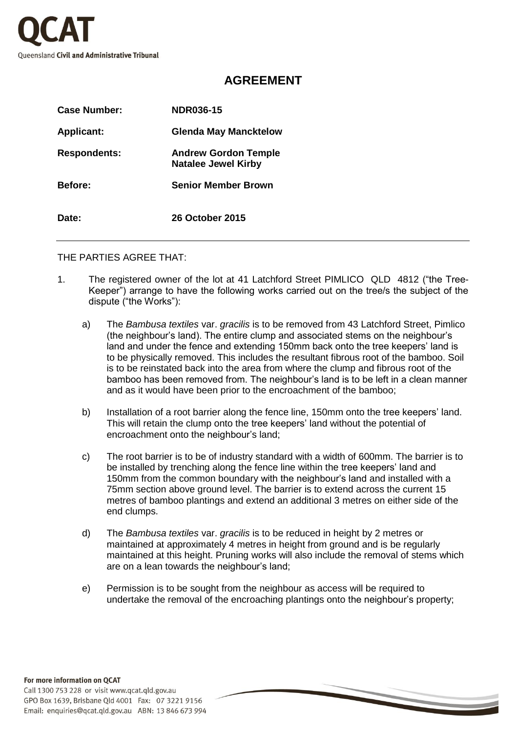

## **AGREEMENT**

| Case Number:        | <b>NDR036-15</b>                                          |
|---------------------|-----------------------------------------------------------|
| <b>Applicant:</b>   | <b>Glenda May Mancktelow</b>                              |
| <b>Respondents:</b> | <b>Andrew Gordon Temple</b><br><b>Natalee Jewel Kirby</b> |
| <b>Before:</b>      | <b>Senior Member Brown</b>                                |
| Date:               | 26 October 2015                                           |

THE PARTIES AGREE THAT:

- 1. The registered owner of the lot at 41 Latchford Street PIMLICO QLD 4812 ("the Tree-Keeper") arrange to have the following works carried out on the tree/s the subject of the dispute ("the Works"):
	- a) The *Bambusa textiles* var. *gracilis* is to be removed from 43 Latchford Street, Pimlico (the neighbour's land). The entire clump and associated stems on the neighbour's land and under the fence and extending 150mm back onto the tree keepers' land is to be physically removed. This includes the resultant fibrous root of the bamboo. Soil is to be reinstated back into the area from where the clump and fibrous root of the bamboo has been removed from. The neighbour's land is to be left in a clean manner and as it would have been prior to the encroachment of the bamboo;
	- b) Installation of a root barrier along the fence line, 150mm onto the tree keepers' land. This will retain the clump onto the tree keepers' land without the potential of encroachment onto the neighbour's land;
	- c) The root barrier is to be of industry standard with a width of 600mm. The barrier is to be installed by trenching along the fence line within the tree keepers' land and 150mm from the common boundary with the neighbour's land and installed with a 75mm section above ground level. The barrier is to extend across the current 15 metres of bamboo plantings and extend an additional 3 metres on either side of the end clumps.
	- d) The *Bambusa textiles* var. *gracilis* is to be reduced in height by 2 metres or maintained at approximately 4 metres in height from ground and is be regularly maintained at this height. Pruning works will also include the removal of stems which are on a lean towards the neighbour's land;
	- e) Permission is to be sought from the neighbour as access will be required to undertake the removal of the encroaching plantings onto the neighbour's property;